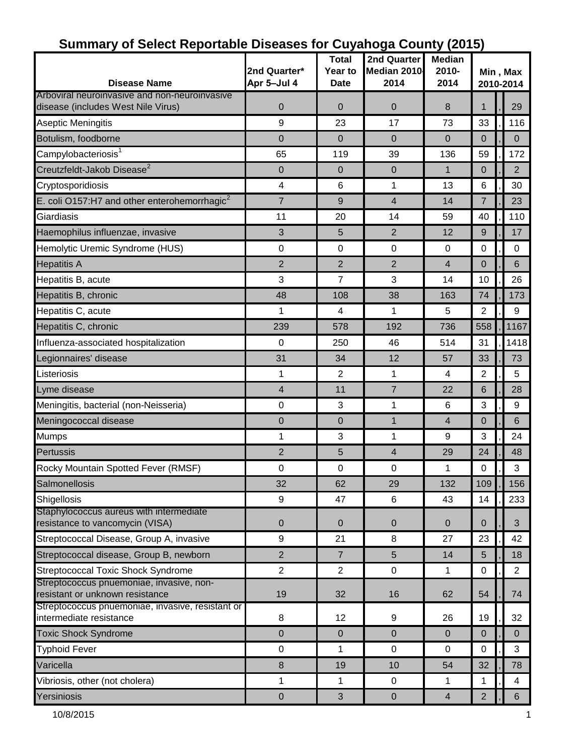| <b>Disease Name</b>                                                                 | 2nd Quarter*<br>Apr 5-Jul 4 | <b>Total</b><br>Year to<br><b>Date</b> | 2nd Quarter<br>Median 2010<br>2014 | <b>Median</b><br>$2010 -$<br>2014 | Min, Max<br>2010-2014 |  |                  |  |
|-------------------------------------------------------------------------------------|-----------------------------|----------------------------------------|------------------------------------|-----------------------------------|-----------------------|--|------------------|--|
| Arboviral neuroinvasive and non-neuroinvasive<br>disease (includes West Nile Virus) | $\mathbf 0$                 | 0                                      | $\mathbf 0$                        | 8                                 | 1                     |  | 29               |  |
| Aseptic Meningitis                                                                  | 9                           | 23                                     | 17                                 | 73                                | 33                    |  | 116              |  |
| Botulism, foodborne                                                                 | $\overline{0}$              | $\Omega$                               | $\mathbf 0$                        | $\overline{0}$                    | $\mathbf 0$           |  | $\mathbf 0$      |  |
| Campylobacteriosis <sup>1</sup>                                                     | 65                          | 119                                    | 39                                 | 136                               | 59                    |  | 172              |  |
| Creutzfeldt-Jakob Disease <sup>2</sup>                                              | $\pmb{0}$                   | 0                                      | $\pmb{0}$                          | $\mathbf{1}$                      | $\mathbf 0$           |  | $\overline{2}$   |  |
| Cryptosporidiosis                                                                   | $\overline{\mathbf{4}}$     | 6                                      | 1                                  | 13                                | 6                     |  | 30               |  |
| E. coli O157:H7 and other enterohemorrhagic <sup>2</sup>                            | $\overline{7}$              | 9                                      | 4                                  | 14                                | $\overline{7}$        |  | 23               |  |
| Giardiasis                                                                          | 11                          | 20                                     | 14                                 | 59                                | 40                    |  | 110              |  |
| Haemophilus influenzae, invasive                                                    | $\sqrt{3}$                  | 5                                      | $\overline{2}$                     | 12                                | 9                     |  | 17               |  |
| Hemolytic Uremic Syndrome (HUS)                                                     | 0                           | 0                                      | $\mathbf 0$                        | $\mathbf 0$                       | 0                     |  | $\mathbf 0$      |  |
| <b>Hepatitis A</b>                                                                  | $\overline{2}$              | $\overline{2}$                         | $\overline{2}$                     | $\overline{4}$                    | $\mathbf 0$           |  | 6                |  |
| Hepatitis B, acute                                                                  | $\mathbf{3}$                | 7                                      | 3                                  | 14                                | 10                    |  | 26               |  |
| Hepatitis B, chronic                                                                | 48                          | 108                                    | 38                                 | 163                               | 74                    |  | 173              |  |
| Hepatitis C, acute                                                                  | 1                           | 4                                      | 1                                  | 5                                 | $\overline{2}$        |  | 9                |  |
| Hepatitis C, chronic                                                                | 239                         | 578                                    | 192                                | 736                               | 558                   |  | 1167             |  |
| Influenza-associated hospitalization                                                | 0                           | 250                                    | 46                                 | 514                               | 31                    |  | 1418             |  |
| Legionnaires' disease                                                               | 31                          | 34                                     | 12                                 | 57                                | 33                    |  | 73               |  |
| Listeriosis                                                                         | 1                           | $\overline{2}$                         | 1                                  | $\overline{4}$                    | $\overline{2}$        |  | 5                |  |
| Lyme disease                                                                        | $\overline{\mathbf{4}}$     | 11                                     | $\overline{7}$                     | 22                                | 6                     |  | 28               |  |
| Meningitis, bacterial (non-Neisseria)                                               | $\pmb{0}$                   | 3                                      | 1                                  | 6                                 | 3                     |  | 9                |  |
| Meningococcal disease                                                               | 0                           | 0                                      | 1                                  | $\overline{4}$                    | 0                     |  | 6                |  |
| Mumps                                                                               | 1                           | 3                                      | 1                                  | 9                                 | 3                     |  | 24               |  |
| Pertussis                                                                           | $\overline{2}$              | 5                                      | $\overline{4}$                     | 29                                | 24                    |  | 48               |  |
| Rocky Mountain Spotted Fever (RMSF)                                                 | 0                           | 0                                      | $\mathbf 0$                        | 1                                 | 0                     |  | 3                |  |
| Salmonellosis                                                                       | 32                          | 62                                     | 29                                 | 132                               | 109                   |  | 156              |  |
| Shigellosis                                                                         | 9                           | 47                                     | 6                                  | 43                                | 14                    |  | 233              |  |
| Staphylococcus aureus with intermediate<br>resistance to vancomycin (VISA)          | $\boldsymbol{0}$            | 0                                      | $\pmb{0}$                          | $\overline{0}$                    | 0                     |  | 3                |  |
| Streptococcal Disease, Group A, invasive                                            | $\boldsymbol{9}$            | 21                                     | 8                                  | 27                                | 23                    |  | 42               |  |
| Streptococcal disease, Group B, newborn                                             | $\overline{2}$              | $\overline{7}$                         | $5\phantom{.}$                     | 14                                | 5                     |  | 18               |  |
| <b>Streptococcal Toxic Shock Syndrome</b>                                           | $\overline{2}$              | $\overline{2}$                         | $\mathbf 0$                        | 1                                 | $\mathbf 0$           |  | $\overline{2}$   |  |
| Streptococcus pnuemoniae, invasive, non-<br>resistant or unknown resistance         | 19                          | 32                                     | 16                                 | 62                                | 54                    |  | 74               |  |
| Streptococcus pnuemoniae, invasive, resistant or<br>intermediate resistance         | 8                           | 12                                     | 9                                  | 26                                | 19                    |  | 32               |  |
| <b>Toxic Shock Syndrome</b>                                                         | $\mathbf 0$                 | $\mathbf 0$                            | $\mathbf 0$                        | $\Omega$                          | $\mathbf{0}$          |  | $\Omega$         |  |
| <b>Typhoid Fever</b>                                                                | $\mathbf 0$                 | 1                                      | $\mathbf 0$                        | $\mathbf 0$                       | 0                     |  | 3                |  |
| Varicella                                                                           | $\bf 8$                     | 19                                     | 10                                 | 54                                | 32                    |  | 78               |  |
| Vibriosis, other (not cholera)                                                      | 1                           | 1                                      | $\mathbf 0$                        | 1                                 | 1                     |  | 4                |  |
| Yersiniosis                                                                         | $\pmb{0}$                   | 3                                      | $\pmb{0}$                          | $\overline{4}$                    | $\overline{2}$        |  | $6 \overline{6}$ |  |

### **Summary of Select Reportable Diseases for Cuyahoga County (2015)**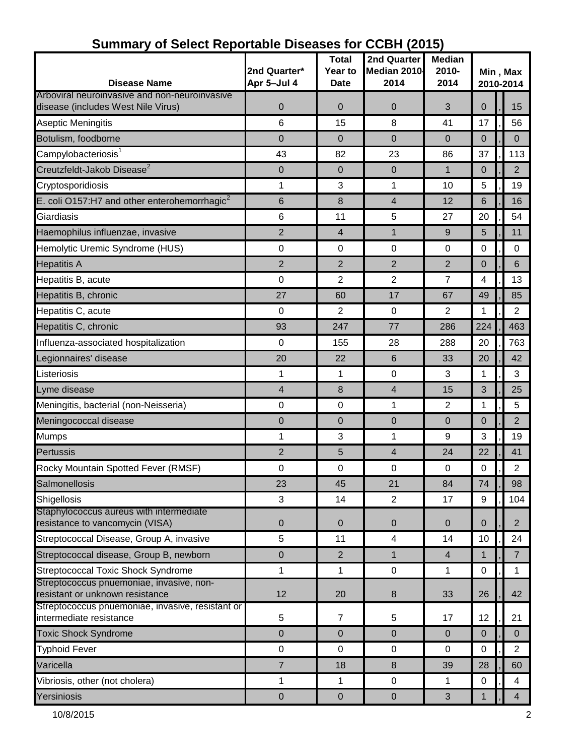| <b>Disease Name</b>                                                                 | 2nd Quarter*<br>Apr 5-Jul 4 | <b>Total</b><br>Year to<br><b>Date</b> | 2nd Quarter<br>Median 2010<br>2014 | <b>Median</b><br>2010-<br>2014 | Min, Max<br>2010-2014 |  |                |  |
|-------------------------------------------------------------------------------------|-----------------------------|----------------------------------------|------------------------------------|--------------------------------|-----------------------|--|----------------|--|
| Arboviral neuroinvasive and non-neuroinvasive<br>disease (includes West Nile Virus) | $\mathbf 0$                 | 0                                      | 0                                  | 3                              | $\mathbf 0$           |  | 15             |  |
| Aseptic Meningitis                                                                  | 6                           | 15                                     | 8                                  | 41                             | 17                    |  | 56             |  |
| Botulism, foodborne                                                                 | $\mathbf 0$                 | 0                                      | 0                                  | $\mathbf 0$                    | 0                     |  | $\mathbf 0$    |  |
| Campylobacteriosis <sup>1</sup>                                                     | 43                          | 82                                     | 23                                 | 86                             | 37                    |  | 113            |  |
| Creutzfeldt-Jakob Disease <sup>2</sup>                                              | $\pmb{0}$                   | 0                                      | $\mathbf{0}$                       | $\mathbf{1}$                   | $\overline{0}$        |  | $\overline{2}$ |  |
| Cryptosporidiosis                                                                   | 1                           | 3                                      | 1                                  | 10                             | 5                     |  | 19             |  |
| E. coli O157:H7 and other enterohemorrhagic <sup>2</sup>                            | 6                           | 8                                      | 4                                  | 12                             | 6                     |  | 16             |  |
| Giardiasis                                                                          | 6                           | 11                                     | 5                                  | 27                             | 20                    |  | 54             |  |
| Haemophilus influenzae, invasive                                                    | $\overline{2}$              | 4                                      | $\mathbf{1}$                       | 9                              | 5                     |  | 11             |  |
| Hemolytic Uremic Syndrome (HUS)                                                     | $\pmb{0}$                   | 0                                      | 0                                  | $\mathbf 0$                    | 0                     |  | 0              |  |
| <b>Hepatitis A</b>                                                                  | $\overline{2}$              | $\overline{2}$                         | $\overline{2}$                     | $\overline{2}$                 | 0                     |  | 6              |  |
| Hepatitis B, acute                                                                  | $\pmb{0}$                   | $\overline{2}$                         | $\overline{2}$                     | $\overline{7}$                 | 4                     |  | 13             |  |
| Hepatitis B, chronic                                                                | 27                          | 60                                     | 17                                 | 67                             | 49                    |  | 85             |  |
| Hepatitis C, acute                                                                  | $\pmb{0}$                   | $\overline{2}$                         | $\mathbf 0$                        | 2                              | 1                     |  | $\overline{2}$ |  |
| Hepatitis C, chronic                                                                | 93                          | 247                                    | 77                                 | 286                            | 224                   |  | 463            |  |
| Influenza-associated hospitalization                                                | 0                           | 155                                    | 28                                 | 288                            | 20                    |  | 763            |  |
| Legionnaires' disease                                                               | 20                          | 22                                     | 6                                  | 33                             | 20                    |  | 42             |  |
| Listeriosis                                                                         | 1                           | 1                                      | 0                                  | 3                              | 1                     |  | 3              |  |
| Lyme disease                                                                        | $\overline{\mathbf{4}}$     | 8                                      | 4                                  | 15                             | 3                     |  | 25             |  |
| Meningitis, bacterial (non-Neisseria)                                               | $\pmb{0}$                   | 0                                      | 1                                  | $\overline{2}$                 | 1                     |  | 5              |  |
| Meningococcal disease                                                               | $\pmb{0}$                   | 0                                      | $\pmb{0}$                          | $\overline{0}$                 | $\overline{0}$        |  | $\overline{2}$ |  |
| <b>Mumps</b>                                                                        | 1                           | 3                                      | 1                                  | 9                              | 3                     |  | 19             |  |
| Pertussis                                                                           | $\overline{2}$              | 5                                      | 4                                  | 24                             | 22                    |  | 41             |  |
| Rocky Mountain Spotted Fever (RMSF)                                                 | 0                           | 0                                      | $\pmb{0}$                          | $\mathbf 0$                    | $\mathbf 0$           |  | 2              |  |
| Salmonellosis                                                                       | 23                          | 45                                     | 21                                 | 84                             | 74                    |  | 98             |  |
| Shigellosis                                                                         | 3                           | 14                                     | 2                                  | 17                             | 9                     |  | 104            |  |
| Staphylococcus aureus with intermediate<br>resistance to vancomycin (VISA)          | $\pmb{0}$                   | $\mathbf 0$                            | $\mathbf 0$                        | $\mathbf 0$                    | $\overline{0}$        |  | $\overline{2}$ |  |
| Streptococcal Disease, Group A, invasive                                            | 5                           | 11                                     | $\overline{\mathcal{A}}$           | 14                             | 10                    |  | 24             |  |
| Streptococcal disease, Group B, newborn                                             | $\pmb{0}$                   | $\overline{2}$                         | $\mathbf{1}$                       | $\overline{4}$                 | 1                     |  | $\overline{7}$ |  |
| <b>Streptococcal Toxic Shock Syndrome</b>                                           | 1                           | 1                                      | $\mathbf 0$                        | $\mathbf{1}$                   | 0                     |  | 1              |  |
| Streptococcus pnuemoniae, invasive, non-<br>resistant or unknown resistance         | 12                          | 20                                     | 8                                  | 33                             | 26                    |  | 42             |  |
| Streptococcus pnuemoniae, invasive, resistant or<br>intermediate resistance         | 5                           | $\overline{7}$                         | 5                                  | 17                             | 12                    |  | 21             |  |
| <b>Toxic Shock Syndrome</b>                                                         | $\mathbf 0$                 | 0                                      | $\mathbf 0$                        | $\mathbf 0$                    | $\mathbf 0$           |  | $\mathbf{0}$   |  |
| <b>Typhoid Fever</b>                                                                | $\boldsymbol{0}$            | 0                                      | $\mathbf 0$                        | 0                              | $\mathbf 0$           |  | 2              |  |
| Varicella                                                                           | $\overline{7}$              | 18                                     | 8                                  | 39                             | 28                    |  | 60             |  |
| Vibriosis, other (not cholera)                                                      | 1                           | 1                                      | $\pmb{0}$                          | $\mathbf{1}$                   | 0                     |  | 4              |  |
| Yersiniosis                                                                         | $\pmb{0}$                   | $\pmb{0}$                              | $\mathbf 0$                        | 3                              | 1                     |  | $\overline{4}$ |  |

#### **Summary of Select Reportable Diseases for CCBH (2015)**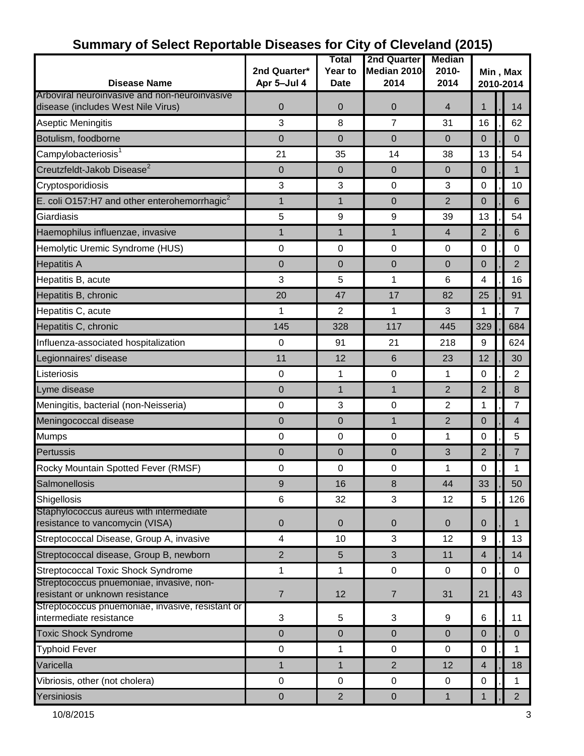| <b>Disease Name</b>                                                                 | 2nd Quarter*<br>Apr 5-Jul 4 | Total<br><b>Year to</b><br><b>Date</b> | <b>2nd Quarter</b><br>Median 2010<br>2014 | <b>Median</b><br>2010-<br>2014 | Min, Max<br>2010-2014 |  |                |  |
|-------------------------------------------------------------------------------------|-----------------------------|----------------------------------------|-------------------------------------------|--------------------------------|-----------------------|--|----------------|--|
| Arboviral neuroinvasive and non-neuroinvasive<br>disease (includes West Nile Virus) | $\mathbf 0$                 | 0                                      | 0                                         | $\overline{4}$                 | 1                     |  | 14             |  |
| Aseptic Meningitis                                                                  | 3                           | 8                                      | $\overline{7}$                            | 31                             | 16                    |  | 62             |  |
| Botulism, foodborne                                                                 | 0                           | 0                                      | $\mathbf{0}$                              | $\overline{0}$                 | $\mathbf 0$           |  | 0              |  |
| Campylobacteriosis <sup>1</sup>                                                     | 21                          | 35                                     | 14                                        | 38                             | 13                    |  | 54             |  |
| Creutzfeldt-Jakob Disease <sup>2</sup>                                              | $\pmb{0}$                   | 0                                      | $\pmb{0}$                                 | $\overline{0}$                 | $\overline{0}$        |  | $\mathbf 1$    |  |
| Cryptosporidiosis                                                                   | $\mathbf{3}$                | 3                                      | $\pmb{0}$                                 | 3                              | 0                     |  | 10             |  |
| E. coli O157:H7 and other enterohemorrhagic <sup>2</sup>                            | 1                           | 1                                      | 0                                         | 2                              | 0                     |  | 6              |  |
| Giardiasis                                                                          | 5                           | 9                                      | 9                                         | 39                             | 13                    |  | 54             |  |
| Haemophilus influenzae, invasive                                                    | 1                           | $\mathbf{1}$                           | $\mathbf{1}$                              | $\overline{4}$                 | $\overline{2}$        |  | 6              |  |
| Hemolytic Uremic Syndrome (HUS)                                                     | 0                           | 0                                      | $\mathbf 0$                               | $\mathbf 0$                    | 0                     |  | $\Omega$       |  |
| <b>Hepatitis A</b>                                                                  | 0                           | 0                                      | 0                                         | $\mathbf 0$                    | 0                     |  | $\overline{2}$ |  |
| Hepatitis B, acute                                                                  | $\mathbf{3}$                | 5                                      | 1                                         | 6                              | 4                     |  | 16             |  |
| Hepatitis B, chronic                                                                | 20                          | 47                                     | 17                                        | 82                             | 25                    |  | 91             |  |
| Hepatitis C, acute                                                                  | 1                           | $\overline{2}$                         | 1                                         | 3                              | 1                     |  | $\overline{7}$ |  |
| Hepatitis C, chronic                                                                | 145                         | 328                                    | 117                                       | 445                            | 329                   |  | 684            |  |
| Influenza-associated hospitalization                                                | $\pmb{0}$                   | 91                                     | 21                                        | 218                            | 9                     |  | 624            |  |
| Legionnaires' disease                                                               | 11                          | 12                                     | 6                                         | 23                             | 12                    |  | 30             |  |
| Listeriosis                                                                         | $\mathbf 0$                 | 1                                      | $\mathbf 0$                               | 1                              | 0                     |  | $\overline{2}$ |  |
| Lyme disease                                                                        | $\mathbf 0$                 | $\mathbf{1}$                           | $\mathbf{1}$                              | $\overline{2}$                 | $\overline{2}$        |  | 8              |  |
| Meningitis, bacterial (non-Neisseria)                                               | $\pmb{0}$                   | 3                                      | $\mathbf 0$                               | $\overline{2}$                 | 1                     |  | 7              |  |
| Meningococcal disease                                                               | $\mathbf 0$                 | $\overline{0}$                         | $\mathbf{1}$                              | $\overline{2}$                 | 0                     |  | $\overline{4}$ |  |
| <b>Mumps</b>                                                                        | 0                           | $\pmb{0}$                              | $\pmb{0}$                                 | 1                              | 0                     |  | 5              |  |
| Pertussis                                                                           | $\mathbf 0$                 | 0                                      | 0                                         | 3                              | $\overline{2}$        |  | 7              |  |
| Rocky Mountain Spotted Fever (RMSF)                                                 | $\pmb{0}$                   | $\mathbf 0$                            | $\pmb{0}$                                 | 1                              | 0                     |  | 1              |  |
| Salmonellosis                                                                       | 9                           | 16                                     | 8                                         | 44                             | 33                    |  | 50             |  |
| Shigellosis                                                                         | 6                           | 32                                     | 3                                         | 12                             | 5                     |  | 126            |  |
| Staphylococcus aureus with intermediate<br>resistance to vancomycin (VISA)          | $\pmb{0}$                   | 0                                      | $\pmb{0}$                                 | $\overline{0}$                 | $\mathbf 0$           |  | $\mathbf{1}$   |  |
| Streptococcal Disease, Group A, invasive                                            | $\overline{\mathbf{4}}$     | 10                                     | 3                                         | 12                             | 9                     |  | 13             |  |
| Streptococcal disease, Group B, newborn                                             | $\overline{2}$              | 5                                      | 3                                         | 11                             | 4                     |  | 14             |  |
| <b>Streptococcal Toxic Shock Syndrome</b>                                           | 1                           | 1                                      | $\mathbf 0$                               | 0                              | $\pmb{0}$             |  | $\mathbf 0$    |  |
| Streptococcus pnuemoniae, invasive, non-<br>resistant or unknown resistance         | $\overline{7}$              | 12                                     | $\overline{7}$                            | 31                             | 21                    |  | 43             |  |
| Streptococcus pnuemoniae, invasive, resistant or<br>intermediate resistance         | 3                           | 5                                      | 3                                         | 9                              | 6                     |  | 11             |  |
| <b>Toxic Shock Syndrome</b>                                                         | $\boldsymbol{0}$            | 0                                      | 0                                         | $\overline{0}$                 | $\mathbf 0$           |  | $\mathbf 0$    |  |
| <b>Typhoid Fever</b>                                                                | $\pmb{0}$                   | 1                                      | $\pmb{0}$                                 | $\mathbf 0$                    | 0                     |  | 1              |  |
| Varicella                                                                           | $\mathbf{1}$                | 1                                      | $\overline{2}$                            | 12                             | $\overline{4}$        |  | 18             |  |
| Vibriosis, other (not cholera)                                                      | $\pmb{0}$                   | $\mathbf 0$                            | $\pmb{0}$                                 | $\mathbf 0$                    | 0                     |  | 1              |  |
| Yersiniosis                                                                         | $\pmb{0}$                   | $\overline{2}$                         | $\pmb{0}$                                 | $\mathbf{1}$                   | 1                     |  | 2 <sup>2</sup> |  |

# **Summary of Select Reportable Diseases for City of Cleveland (2015)**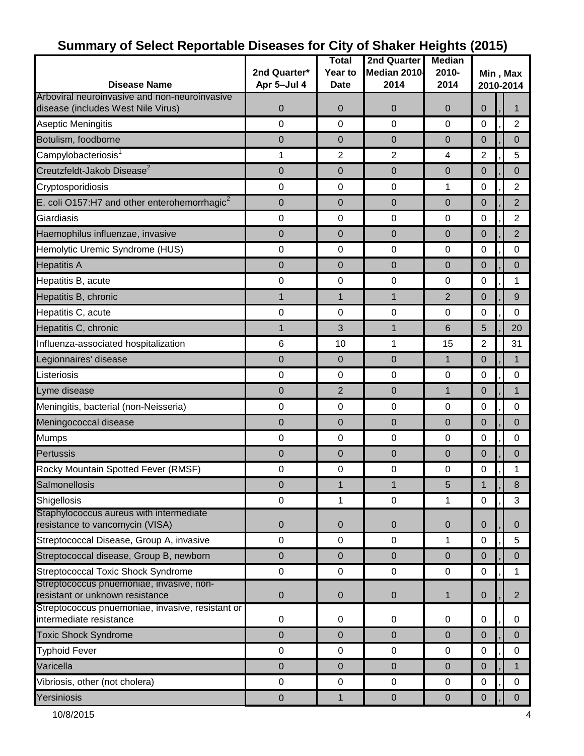|                                                                                     |                  | <b>Total</b>   | 2nd Quarter    | <b>Median</b>  |                       |  |                |
|-------------------------------------------------------------------------------------|------------------|----------------|----------------|----------------|-----------------------|--|----------------|
|                                                                                     | 2nd Quarter*     | Year to        | Median 2010    | 2010-          | Min, Max<br>2010-2014 |  |                |
| <b>Disease Name</b>                                                                 | Apr 5-Jul 4      | <b>Date</b>    | 2014           | 2014           |                       |  |                |
| Arboviral neuroinvasive and non-neuroinvasive                                       |                  |                |                |                |                       |  |                |
| disease (includes West Nile Virus)                                                  | $\mathbf 0$      | 0              | 0              | $\mathbf 0$    | $\Omega$              |  | 1              |
| Aseptic Meningitis                                                                  | $\mathbf 0$      | 0              | $\mathbf 0$    | 0              | $\mathbf 0$           |  | $\overline{2}$ |
| Botulism, foodborne                                                                 | $\mathbf 0$      | 0              | 0              | $\overline{0}$ | $\mathbf 0$           |  | $\mathbf 0$    |
| Campylobacteriosis <sup>1</sup>                                                     | 1                | $\overline{2}$ | $\overline{2}$ | 4              | $\overline{2}$        |  | 5              |
| Creutzfeldt-Jakob Disease <sup>2</sup>                                              | $\mathbf 0$      | 0              | 0              | $\overline{0}$ | $\mathbf 0$           |  | $\Omega$       |
| Cryptosporidiosis                                                                   | $\pmb{0}$        | 0              | $\pmb{0}$      | 1              | 0                     |  | $\overline{2}$ |
| E. coli O157:H7 and other enterohemorrhagic <sup>2</sup>                            | $\mathbf 0$      | 0              | 0              | $\overline{0}$ | $\mathbf 0$           |  | $\overline{2}$ |
| Giardiasis                                                                          | 0                | $\pmb{0}$      | $\pmb{0}$      | $\pmb{0}$      | 0                     |  | $\overline{2}$ |
| Haemophilus influenzae, invasive                                                    | $\mathbf 0$      | 0              | $\pmb{0}$      | $\mathbf 0$    | $\mathbf 0$           |  | $\overline{2}$ |
| Hemolytic Uremic Syndrome (HUS)                                                     | 0                | 0              | 0              | $\mathbf 0$    | 0                     |  | 0              |
| <b>Hepatitis A</b>                                                                  | $\mathbf 0$      | 0              | 0              | $\overline{0}$ | $\mathbf 0$           |  | $\mathbf 0$    |
| Hepatitis B, acute                                                                  | 0                | 0              | 0              | $\mathbf 0$    | 0                     |  | 1              |
| Hepatitis B, chronic                                                                | $\mathbf{1}$     | $\mathbf{1}$   | $\mathbf{1}$   | 2              | $\mathbf 0$           |  | 9              |
| Hepatitis C, acute                                                                  | 0                | 0              | $\pmb{0}$      | $\mathbf 0$    | 0                     |  | $\mathbf 0$    |
| Hepatitis C, chronic                                                                | $\mathbf{1}$     | 3              | $\mathbf{1}$   | 6              | 5                     |  | 20             |
| Influenza-associated hospitalization                                                | 6                | 10             | 1              | 15             | $\overline{2}$        |  | 31             |
| Legionnaires' disease                                                               | $\boldsymbol{0}$ | $\mathbf 0$    | $\pmb{0}$      | $\mathbf{1}$   | $\mathbf 0$           |  | $\mathbf 1$    |
| Listeriosis                                                                         | 0                | $\mathbf 0$    | 0              | $\mathbf 0$    | 0                     |  | $\mathbf 0$    |
| Lyme disease                                                                        | $\mathbf 0$      | 2              | $\pmb{0}$      | $\mathbf{1}$   | $\mathbf 0$           |  | $\mathbf{1}$   |
| Meningitis, bacterial (non-Neisseria)                                               | $\pmb{0}$        | 0              | $\pmb{0}$      | $\mathbf 0$    | 0                     |  | $\mathbf 0$    |
| Meningococcal disease                                                               | $\pmb{0}$        | 0              | $\pmb{0}$      | $\overline{0}$ | $\mathbf 0$           |  | $\Omega$       |
| <b>Mumps</b>                                                                        | 0                | $\mathbf 0$    | $\pmb{0}$      | $\mathbf 0$    | 0                     |  | $\mathbf 0$    |
| Pertussis                                                                           | $\pmb{0}$        | 0              | $\pmb{0}$      | $\mathbf 0$    | 0                     |  | $\pmb{0}$      |
| Rocky Mountain Spotted Fever (RMSF)                                                 | 0                | $\pmb{0}$      | 0              | $\mathbf 0$    | 0                     |  | 1              |
| Salmonellosis                                                                       | $\pmb{0}$        | 1              | $\mathbf{1}$   | 5              | 1                     |  | 8              |
| Shigellosis                                                                         | $\mathbf 0$      | 1              | $\mathbf 0$    | 1              | $\mathbf 0$           |  | 3              |
| Staphylococcus aureus with intermediate                                             |                  |                |                |                |                       |  |                |
| resistance to vancomycin (VISA)                                                     | $\pmb{0}$        | $\pmb{0}$      | $\pmb{0}$      | $\pmb{0}$      | $\mathbf 0$           |  | $\mathbf{0}$   |
| Streptococcal Disease, Group A, invasive                                            | $\mathbf 0$      | $\mathbf 0$    | $\pmb{0}$      | 1              | 0                     |  | 5              |
| Streptococcal disease, Group B, newborn                                             | 0                | $\pmb{0}$      | $\pmb{0}$      | $\mathbf 0$    | $\mathbf 0$           |  | $\pmb{0}$      |
| <b>Streptococcal Toxic Shock Syndrome</b>                                           | $\pmb{0}$        | $\mathsf 0$    | $\pmb{0}$      | 0              | $\mathbf 0$           |  | 1              |
| Streptococcus pnuemoniae, invasive, non-                                            |                  |                |                |                |                       |  |                |
| resistant or unknown resistance<br>Streptococcus pnuemoniae, invasive, resistant or | $\pmb{0}$        | 0              | 0              | $\mathbf{1}$   | $\mathbf 0$           |  | $\overline{2}$ |
| intermediate resistance                                                             | $\pmb{0}$        | 0              | 0              | 0              | 0                     |  | 0              |
| <b>Toxic Shock Syndrome</b>                                                         | $\mathbf 0$      | 0              | $\mathbf 0$    | $\overline{0}$ | $\mathbf 0$           |  | $\Omega$       |
| <b>Typhoid Fever</b>                                                                | $\pmb{0}$        | $\mathbf 0$    | 0              | $\pmb{0}$      | $\pmb{0}$             |  | 0              |
| Varicella                                                                           | $\mathbf 0$      | 0              | 0              | $\overline{0}$ | $\overline{0}$        |  | $\mathbf{1}$   |
| Vibriosis, other (not cholera)                                                      | $\pmb{0}$        | $\pmb{0}$      | $\pmb{0}$      | 0              | 0                     |  | 0              |
| Yersiniosis                                                                         | $\pmb{0}$        | $\mathbf{1}$   | $\pmb{0}$      | $\pmb{0}$      | $\pmb{0}$             |  | $\mathbf{0}$   |
|                                                                                     |                  |                |                |                |                       |  |                |

# **Summary of Select Reportable Diseases for City of Shaker Heights (2015)**